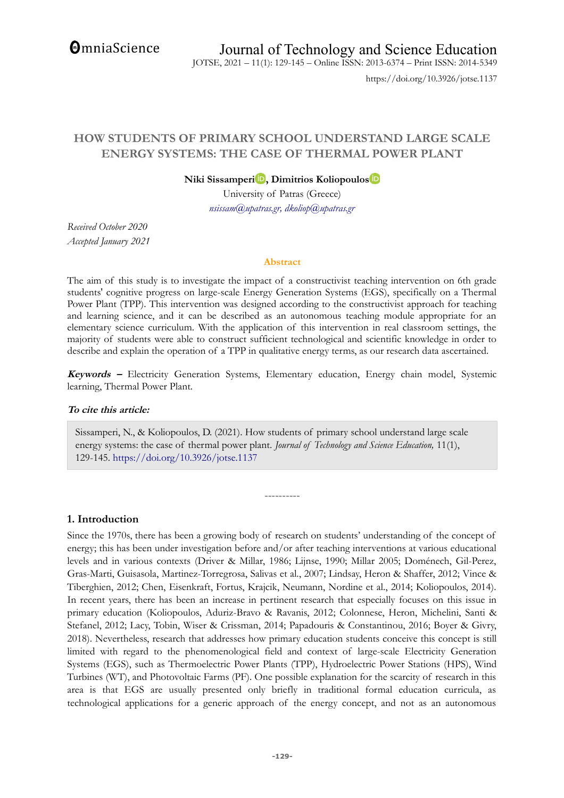**OmniaScience** 

JOTSE, 2021 – 11(1): 129-145 – Online ISSN: 2013-6374 – Print ISSN: 2014-5349

https://doi.org/10.3926/jotse.1137

# **HOW STUDENTS OF PRIMARY SCHOOL UNDERSTAND LARGE SCALE ENERGY SYSTEMS: THE CASE OF THERMAL POWER PLANT**

**Niki Sissamper[i](https://orcid.org/0000-0002-7240-9273) , Dimitrios Koliopoulo[s](http://orcid.org/0000-0002-7563-2964)**

University of Patras (Greece) *nsissam@upatras.gr, dkoliop@upatras.gr*

*Received October 2020 Accepted January 2021*

#### **Abstract**

The aim of this study is to investigate the impact of a constructivist teaching intervention on 6th grade students' cognitive progress on large-scale Energy Generation Systems (EGS), specifically on a Thermal Power Plant (TPP). This intervention was designed according to the constructivist approach for teaching and learning science, and it can be described as an autonomous teaching module appropriate for an elementary science curriculum. With the application of this intervention in real classroom settings, the majority of students were able to construct sufficient technological and scientific knowledge in order to describe and explain the operation of a TPP in qualitative energy terms, as our research data ascertained.

**Keywords –** Electricity Generation Systems, Elementary education, Energy chain model, Systemic learning, Thermal Power Plant.

## **To cite this article:**

Sissamperi, N., & Koliopoulos, D. (2021). How students of primary school understand large scale energy systems: the case of thermal power plant. *Journal of Technology and Science Education*, 11(1), 129-145.<https://doi.org/10.3926/jotse.1137>

----------

## **1. Introduction**

Since the 1970s, there has been a growing body of research on students' understanding of the concept of energy; this has been under investigation before and/or after teaching interventions at various educational levels and in various contexts (Driver & Millar, 1986; Lijnse, 1990; Millar 2005; Doménech, Gil-Perez, Gras-Marti, Guisasola, Martinez-Torregrosa, Salivas et al., 2007; Lindsay, Heron & Shaffer, 2012; Vince & Tiberghien, 2012; Chen, Eisenkraft, Fortus, Krajcik, Neumann, Nordine et al., 2014; Koliopoulos, 2014). In recent years, there has been an increase in pertinent research that especially focuses on this issue in primary education (Koliopoulos, Aduriz-Bravo & Ravanis, 2012; Colonnese, Heron, Michelini, Santi & Stefanel, 2012; Lacy, Tobin, Wiser & Crissman, 2014; Papadouris & Constantinou, 2016; Boyer & Givry, 2018). Nevertheless, research that addresses how primary education students conceive this concept is still limited with regard to the phenomenological field and context of large-scale Electricity Generation Systems (EGS), such as Thermoelectric Power Plants (TPP), Hydroelectric Power Stations (HPS), Wind Turbines (WT), and Photovoltaic Farms (PF). One possible explanation for the scarcity of research in this area is that EGS are usually presented only briefly in traditional formal education curricula, as technological applications for a generic approach of the energy concept, and not as an autonomous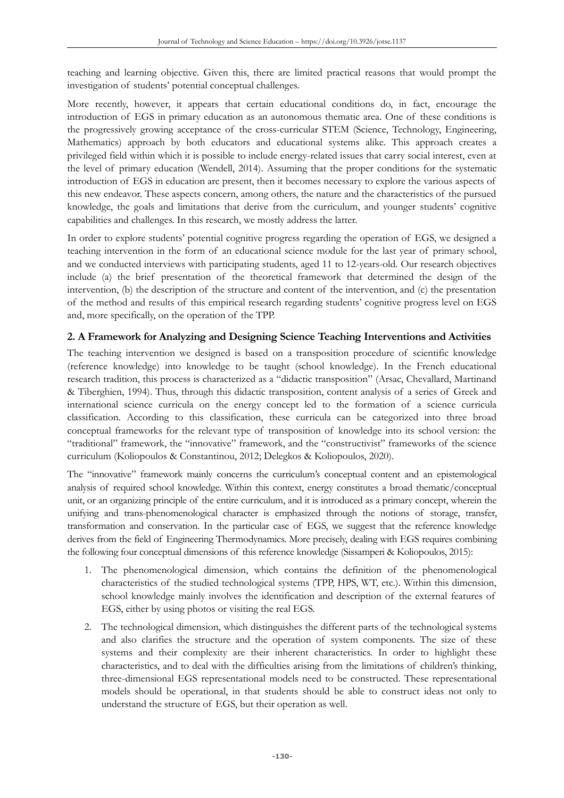teaching and learning objective. Given this, there are limited practical reasons that would prompt the investigation of students' potential conceptual challenges.

More recently, however, it appears that certain educational conditions do, in fact, encourage the introduction of EGS in primary education as an autonomous thematic area. One of these conditions is the progressively growing acceptance of the cross-curricular STEM (Science, Technology, Engineering, Mathematics) approach by both educators and educational systems alike. This approach creates a privileged field within which it is possible to include energy-related issues that carry social interest, even at the level of primary education (Wendell, 2014). Assuming that the proper conditions for the systematic introduction of EGS in education are present, then it becomes necessary to explore the various aspects of this new endeavor. These aspects concern, among others, the nature and the characteristics of the pursued knowledge, the goals and limitations that derive from the curriculum, and younger students' cognitive capabilities and challenges. In this research, we mostly address the latter.

In order to explore students' potential cognitive progress regarding the operation of EGS, we designed a teaching intervention in the form of an educational science module for the last year of primary school, and we conducted interviews with participating students, aged 11 to 12-years-old. Our research objectives include (a) the brief presentation of the theoretical framework that determined the design of the intervention, (b) the description of the structure and content of the intervention, and (c) the presentation of the method and results of this empirical research regarding students' cognitive progress level on EGS and, more specifically, on the operation of the TPP.

## **2. A Framework for Analyzing and Designing Science Teaching Interventions and Activities**

The teaching intervention we designed is based on a transposition procedure of scientific knowledge (reference knowledge) into knowledge to be taught (school knowledge). In the French educational research tradition, this process is characterized as a "didactic transposition" (Arsac, Chevallard, Martinand & Tiberghien, 1994). Thus, through this didactic transposition, content analysis of a series of Greek and international science curricula on the energy concept led to the formation of a science curricula classification. According to this classification, these curricula can be categorized into three broad conceptual frameworks for the relevant type of transposition of knowledge into its school version: the "traditional" framework, the "innovative" framework, and the "constructivist" frameworks of the science curriculum (Koliopoulos & Constantinou, 2012; Delegkos & Koliopoulos, 2020).

The "innovative" framework mainly concerns the curriculum's conceptual content and an epistemological analysis of required school knowledge. Within this context, energy constitutes a broad thematic/conceptual unit, or an organizing principle of the entire curriculum, and it is introduced as a primary concept, wherein the unifying and trans-phenomenological character is emphasized through the notions of storage, transfer, transformation and conservation. In the particular case of EGS, we suggest that the reference knowledge derives from the field of Engineering Thermodynamics. More precisely, dealing with EGS requires combining the following four conceptual dimensions of this reference knowledge (Sissamperi & Koliopoulos, 2015):

- 1. The phenomenological dimension, which contains the definition of the phenomenological characteristics of the studied technological systems (TPP, HPS, WT, etc.). Within this dimension, school knowledge mainly involves the identification and description of the external features of EGS, either by using photos or visiting the real EGS.
- 2. The technological dimension, which distinguishes the different parts of the technological systems and also clarifies the structure and the operation of system components. The size of these systems and their complexity are their inherent characteristics. In order to highlight these characteristics, and to deal with the difficulties arising from the limitations of children's thinking, three-dimensional EGS representational models need to be constructed. These representational models should be operational, in that students should be able to construct ideas not only to understand the structure of EGS, but their operation as well.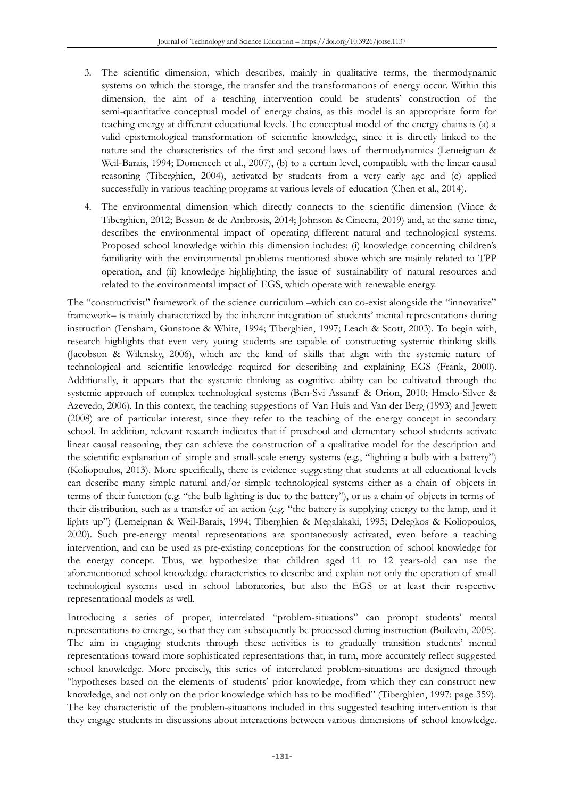- 3. The scientific dimension, which describes, mainly in qualitative terms, the thermodynamic systems on which the storage, the transfer and the transformations of energy occur. Within this dimension, the aim of a teaching intervention could be students' construction of the semi-quantitative conceptual model of energy chains, as this model is an appropriate form for teaching energy at different educational levels. The conceptual model of the energy chains is (a) a valid epistemological transformation of scientific knowledge, since it is directly linked to the nature and the characteristics of the first and second laws of thermodynamics (Lemeignan & Weil-Barais, 1994; Domenech et al., 2007), (b) to a certain level, compatible with the linear causal reasoning (Tiberghien, 2004), activated by students from a very early age and (c) applied successfully in various teaching programs at various levels of education (Chen et al., 2014).
- 4. The environmental dimension which directly connects to the scientific dimension (Vince & Tiberghien, 2012; Besson & de Ambrosis, 2014; Johnson & Cincera, 2019) and, at the same time, describes the environmental impact of operating different natural and technological systems. Proposed school knowledge within this dimension includes: (i) knowledge concerning children's familiarity with the environmental problems mentioned above which are mainly related to TPP operation, and (ii) knowledge highlighting the issue of sustainability of natural resources and related to the environmental impact of EGS, which operate with renewable energy.

The "constructivist" framework of the science curriculum –which can co-exist alongside the "innovative" framework– is mainly characterized by the inherent integration of students' mental representations during instruction (Fensham, Gunstone & White, 1994; Tiberghien, 1997; Leach & Scott, 2003). To begin with, research highlights that even very young students are capable of constructing systemic thinking skills (Jacobson & Wilensky, 2006), which are the kind of skills that align with the systemic nature of technological and scientific knowledge required for describing and explaining EGS (Frank, 2000). Additionally, it appears that the systemic thinking as cognitive ability can be cultivated through the systemic approach of complex technological systems (Ben-Svi Assaraf & Orion, 2010; Hmelo-Silver & Azevedo, 2006). In this context, the teaching suggestions of Van Huis and Van der Berg (1993) and Jewett (2008) are of particular interest, since they refer to the teaching of the energy concept in secondary school. In addition, relevant research indicates that if preschool and elementary school students activate linear causal reasoning, they can achieve the construction of a qualitative model for the description and the scientific explanation of simple and small-scale energy systems (e.g., "lighting a bulb with a battery") (Koliopoulos, 2013). More specifically, there is evidence suggesting that students at all educational levels can describe many simple natural and/or simple technological systems either as a chain of objects in terms of their function (e.g. "the bulb lighting is due to the battery"), or as a chain of objects in terms of their distribution, such as a transfer of an action (e.g. "the battery is supplying energy to the lamp, and it lights up") (Lemeignan & Weil-Barais, 1994; Tiberghien & Megalakaki, 1995; Delegkos & Koliopoulos, 2020). Such pre-energy mental representations are spontaneously activated, even before a teaching intervention, and can be used as pre-existing conceptions for the construction of school knowledge for the energy concept. Thus, we hypothesize that children aged 11 to 12 years-old can use the aforementioned school knowledge characteristics to describe and explain not only the operation of small technological systems used in school laboratories, but also the EGS or at least their respective representational models as well.

Introducing a series of proper, interrelated "problem-situations" can prompt students' mental representations to emerge, so that they can subsequently be processed during instruction (Boilevin, 2005). The aim in engaging students through these activities is to gradually transition students' mental representations toward more sophisticated representations that, in turn, more accurately reflect suggested school knowledge. More precisely, this series of interrelated problem-situations are designed through "hypotheses based on the elements of students' prior knowledge, from which they can construct new knowledge, and not only on the prior knowledge which has to be modified" (Tiberghien, 1997: page 359). The key characteristic of the problem-situations included in this suggested teaching intervention is that they engage students in discussions about interactions between various dimensions of school knowledge.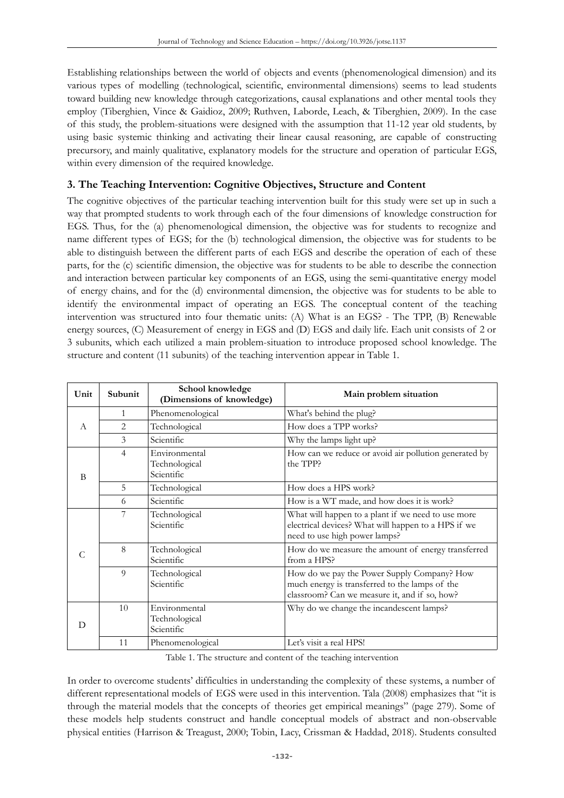Establishing relationships between the world of objects and events (phenomenological dimension) and its various types of modelling (technological, scientific, environmental dimensions) seems to lead students toward building new knowledge through categorizations, causal explanations and other mental tools they employ (Tiberghien, Vince & Gaidioz, 2009; Ruthven, Laborde, Leach, & Tiberghien, 2009). In the case of this study, the problem-situations were designed with the assumption that 11-12 year old students, by using basic systemic thinking and activating their linear causal reasoning, are capable of constructing precursory, and mainly qualitative, explanatory models for the structure and operation of particular EGS, within every dimension of the required knowledge.

# **3. The Teaching Intervention: Cognitive Objectives, Structure and Content**

The cognitive objectives of the particular teaching intervention built for this study were set up in such a way that prompted students to work through each of the four dimensions of knowledge construction for EGS. Thus, for the (a) phenomenological dimension, the objective was for students to recognize and name different types of EGS; for the (b) technological dimension, the objective was for students to be able to distinguish between the different parts of each EGS and describe the operation of each of these parts, for the (c) scientific dimension, the objective was for students to be able to describe the connection and interaction between particular key components of an EGS, using the semi-quantitative energy model of energy chains, and for the (d) environmental dimension, the objective was for students to be able to identify the environmental impact of operating an EGS. The conceptual content of the teaching intervention was structured into four thematic units: (A) What is an EGS? - The TPP, (B) Renewable energy sources, (C) Measurement of energy in EGS and (D) EGS and daily life. Each unit consists of 2 or 3 subunits, which each utilized a main problem-situation to introduce proposed school knowledge. The structure and content (11 subunits) of the teaching intervention appear in Table 1.

| Unit                                | Subunit        | School knowledge<br>(Dimensions of knowledge) | Main problem situation                                                                                                                         |
|-------------------------------------|----------------|-----------------------------------------------|------------------------------------------------------------------------------------------------------------------------------------------------|
|                                     | $\mathbf{1}$   | Phenomenological                              | What's behind the plug?                                                                                                                        |
| $\mathcal{A}$<br>B<br>$\mathcal{C}$ | 2              | Technological                                 | How does a TPP works?                                                                                                                          |
|                                     | 3              | Scientific                                    | Why the lamps light up?                                                                                                                        |
|                                     | $\overline{4}$ | Environmental<br>Technological<br>Scientific  | How can we reduce or avoid air pollution generated by<br>the TPP?                                                                              |
|                                     | 5              | Technological                                 | How does a HPS work?                                                                                                                           |
|                                     | 6              | Scientific                                    | How is a WT made, and how does it is work?                                                                                                     |
|                                     | 7              | Technological<br>Scientific                   | What will happen to a plant if we need to use more<br>electrical devices? What will happen to a HPS if we<br>need to use high power lamps?     |
|                                     | 8              | Technological<br>Scientific                   | How do we measure the amount of energy transferred<br>from a HPS?                                                                              |
|                                     | $\Omega$       | Technological<br>Scientific                   | How do we pay the Power Supply Company? How<br>much energy is transferred to the lamps of the<br>classroom? Can we measure it, and if so, how? |
| D                                   | 10             | Environmental<br>Technological<br>Scientific  | Why do we change the incandescent lamps?                                                                                                       |
|                                     | 11             | Phenomenological                              | Let's visit a real HPS!                                                                                                                        |

Table 1. The structure and content of the teaching intervention

In order to overcome students' difficulties in understanding the complexity of these systems, a number of different representational models of EGS were used in this intervention. Tala (2008) emphasizes that "it is through the material models that the concepts of theories get empirical meanings" (page 279). Some of these models help students construct and handle conceptual models of abstract and non-observable physical entities (Harrison & Treagust, 2000; Tobin, Lacy, Crissman & Haddad, 2018). Students consulted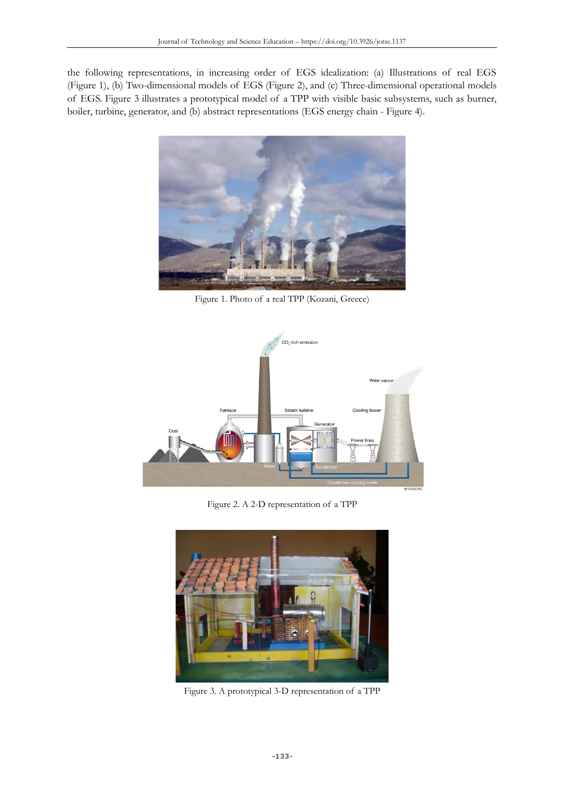the following representations, in increasing order of EGS idealization: (a) Illustrations of real EGS (Figure 1), (b) Two-dimensional models of EGS (Figure 2), and (c) Three-dimensional operational models of EGS. Figure 3 illustrates a prototypical model of a TPP with visible basic subsystems, such as burner, boiler, turbine, generator, and (b) abstract representations (EGS energy chain - Figure 4).



Figure 1. Photo of a real TPP (Kozani, Greece)



Figure 2. A 2-D representation of a TPP



Figure 3. A prototypical 3-D representation of a TPP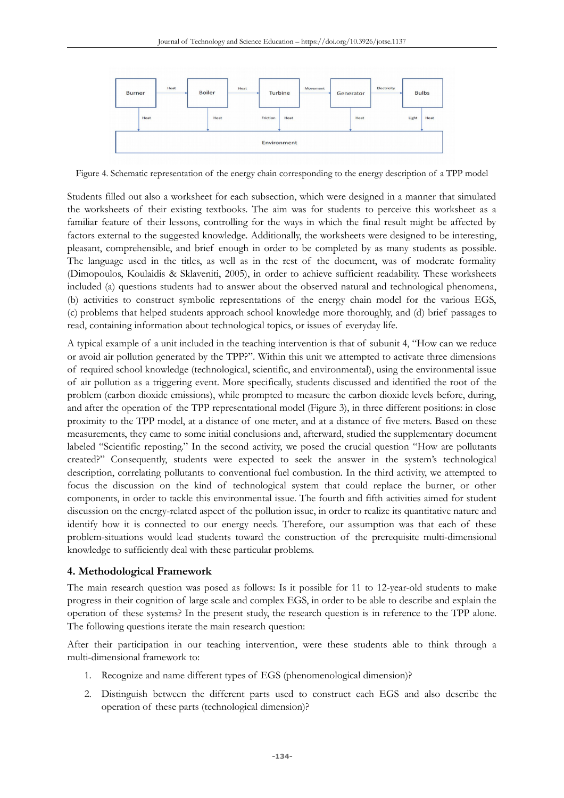

Figure 4. Schematic representation of the energy chain corresponding to the energy description of a TPP model

Students filled out also a worksheet for each subsection, which were designed in a manner that simulated the worksheets of their existing textbooks. The aim was for students to perceive this worksheet as a familiar feature of their lessons, controlling for the ways in which the final result might be affected by factors external to the suggested knowledge. Additionally, the worksheets were designed to be interesting, pleasant, comprehensible, and brief enough in order to be completed by as many students as possible. The language used in the titles, as well as in the rest of the document, was of moderate formality (Dimopoulos, Koulaidis & Sklaveniti, 2005), in order to achieve sufficient readability. These worksheets included (a) questions students had to answer about the observed natural and technological phenomena, (b) activities to construct symbolic representations of the energy chain model for the various EGS, (c) problems that helped students approach school knowledge more thoroughly, and (d) brief passages to read, containing information about technological topics, or issues of everyday life.

A typical example of a unit included in the teaching intervention is that of subunit 4, "How can we reduce or avoid air pollution generated by the TPP?". Within this unit we attempted to activate three dimensions of required school knowledge (technological, scientific, and environmental), using the environmental issue of air pollution as a triggering event. More specifically, students discussed and identified the root of the problem (carbon dioxide emissions), while prompted to measure the carbon dioxide levels before, during, and after the operation of the TPP representational model (Figure 3), in three different positions: in close proximity to the TPP model, at a distance of one meter, and at a distance of five meters. Based on these measurements, they came to some initial conclusions and, afterward, studied the supplementary document labeled "Scientific reposting." In the second activity, we posed the crucial question "How are pollutants created?" Consequently, students were expected to seek the answer in the system's technological description, correlating pollutants to conventional fuel combustion. In the third activity, we attempted to focus the discussion on the kind of technological system that could replace the burner, or other components, in order to tackle this environmental issue. The fourth and fifth activities aimed for student discussion on the energy-related aspect of the pollution issue, in order to realize its quantitative nature and identify how it is connected to our energy needs. Therefore, our assumption was that each of these problem-situations would lead students toward the construction of the prerequisite multi-dimensional knowledge to sufficiently deal with these particular problems.

## **4. Methodological Framework**

The main research question was posed as follows: Is it possible for 11 to 12-year-old students to make progress in their cognition of large scale and complex EGS, in order to be able to describe and explain the operation of these systems? In the present study, the research question is in reference to the TPP alone. The following questions iterate the main research question:

After their participation in our teaching intervention, were these students able to think through a multi-dimensional framework to:

- 1. Recognize and name different types of EGS (phenomenological dimension)?
- 2. Distinguish between the different parts used to construct each EGS and also describe the operation of these parts (technological dimension)?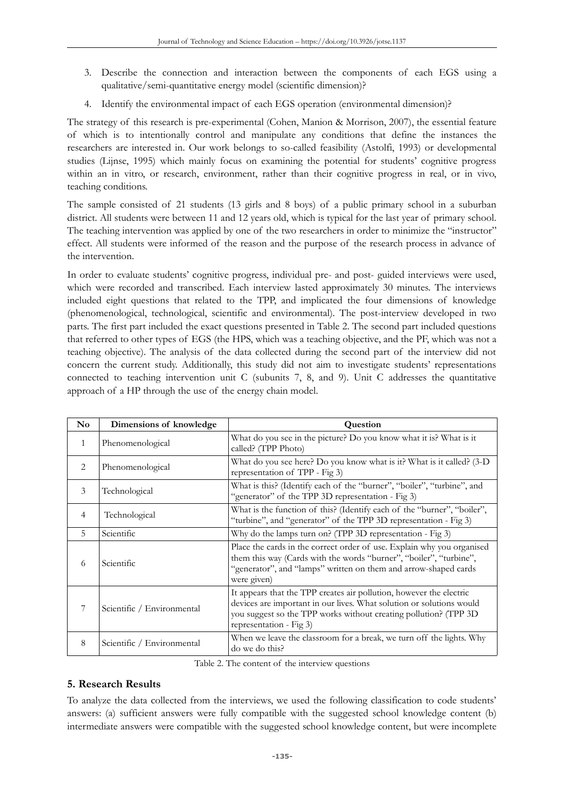- 3. Describe the connection and interaction between the components of each EGS using a qualitative/semi-quantitative energy model (scientific dimension)?
- 4. Identify the environmental impact of each EGS operation (environmental dimension)?

The strategy of this research is pre-experimental (Cohen, Manion & Morrison, 2007), the essential feature of which is to intentionally control and manipulate any conditions that define the instances the researchers are interested in. Our work belongs to so-called feasibility (Astolfi, 1993) or developmental studies (Lijnse, 1995) which mainly focus on examining the potential for students' cognitive progress within an in vitro, or research, environment, rather than their cognitive progress in real, or in vivo, teaching conditions.

The sample consisted of 21 students (13 girls and 8 boys) of a public primary school in a suburban district. All students were between 11 and 12 years old, which is typical for the last year of primary school. The teaching intervention was applied by one of the two researchers in order to minimize the "instructor" effect. All students were informed of the reason and the purpose of the research process in advance of the intervention.

In order to evaluate students' cognitive progress, individual pre- and post- guided interviews were used, which were recorded and transcribed. Each interview lasted approximately 30 minutes. The interviews included eight questions that related to the TPP, and implicated the four dimensions of knowledge (phenomenological, technological, scientific and environmental). The post-interview developed in two parts. The first part included the exact questions presented in Table 2. The second part included questions that referred to other types of EGS (the HPS, which was a teaching objective, and the PF, which was not a teaching objective). The analysis of the data collected during the second part of the interview did not concern the current study. Additionally, this study did not aim to investigate students' representations connected to teaching intervention unit C (subunits 7, 8, and 9). Unit C addresses the quantitative approach of a HP through the use of the energy chain model.

| N <sub>o</sub> | Dimensions of knowledge    | Question                                                                                                                                                                                                                                   |
|----------------|----------------------------|--------------------------------------------------------------------------------------------------------------------------------------------------------------------------------------------------------------------------------------------|
| 1              | Phenomenological           | What do you see in the picture? Do you know what it is? What is it<br>called? (TPP Photo)                                                                                                                                                  |
| 2              | Phenomenological           | What do you see here? Do you know what is it? What is it called? (3-D)<br>representation of TPP - Fig 3)                                                                                                                                   |
| 3              | Technological              | What is this? (Identify each of the "burner", "boiler", "turbine", and<br>"generator" of the TPP 3D representation - Fig 3)                                                                                                                |
| $\overline{4}$ | Technological              | What is the function of this? (Identify each of the "burner", "boiler",<br>"turbine", and "generator" of the TPP 3D representation - Fig 3)                                                                                                |
| .5             | Scientific                 | Why do the lamps turn on? (TPP 3D representation - Fig 3)                                                                                                                                                                                  |
| 6              | Scientific                 | Place the cards in the correct order of use. Explain why you organised<br>them this way (Cards with the words "burner", "boiler", "turbine",<br>"generator", and "lamps" written on them and arrow-shaped cards<br>were given)             |
|                | Scientific / Environmental | It appears that the TPP creates air pollution, however the electric<br>devices are important in our lives. What solution or solutions would<br>you suggest so the TPP works without creating pollution? (TPP 3D<br>representation - Fig 3) |
| 8              | Scientific / Environmental | When we leave the classroom for a break, we turn off the lights. Why<br>do we do this?                                                                                                                                                     |

Table 2. The content of the interview questions

## **5. Research Results**

To analyze the data collected from the interviews, we used the following classification to code students' answers: (a) sufficient answers were fully compatible with the suggested school knowledge content (b) intermediate answers were compatible with the suggested school knowledge content, but were incomplete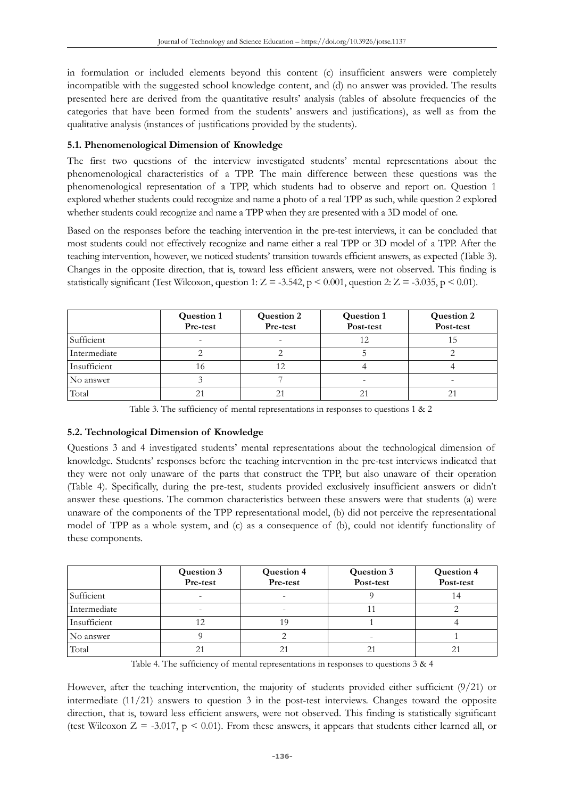in formulation or included elements beyond this content (c) insufficient answers were completely incompatible with the suggested school knowledge content, and (d) no answer was provided. The results presented here are derived from the quantitative results' analysis (tables of absolute frequencies of the categories that have been formed from the students' answers and justifications), as well as from the qualitative analysis (instances of justifications provided by the students).

## **5.1. Phenomenological Dimension of Knowledge**

The first two questions of the interview investigated students' mental representations about the phenomenological characteristics of a TPP. The main difference between these questions was the phenomenological representation of a TPP, which students had to observe and report on. Question 1 explored whether students could recognize and name a photo of a real TPP as such, while question 2 explored whether students could recognize and name a TPP when they are presented with a 3D model of one.

Based on the responses before the teaching intervention in the pre-test interviews, it can be concluded that most students could not effectively recognize and name either a real TPP or 3D model of a TPP. After the teaching intervention, however, we noticed students' transition towards efficient answers, as expected (Table 3). Changes in the opposite direction, that is, toward less efficient answers, were not observed. This finding is statistically significant (Test Wilcoxon, question 1:  $Z = -3.542$ ,  $p \le 0.001$ , question 2:  $Z = -3.035$ ,  $p \le 0.01$ ).

|              | <b>Question 1</b><br>Pre-test | <b>Question 2</b><br>Pre-test | <b>Question 1</b><br>Post-test | <b>Question 2</b><br>Post-test |
|--------------|-------------------------------|-------------------------------|--------------------------------|--------------------------------|
| Sufficient   | -                             |                               | 12                             |                                |
| Intermediate |                               |                               |                                |                                |
| Insufficient | 16                            |                               |                                |                                |
| No answer    |                               |                               | -                              |                                |
| Total        | 21                            | 21                            | 21                             | ΖI                             |

Table 3. The sufficiency of mental representations in responses to questions 1 & 2

## **5.2. Technological Dimension of Knowledge**

Questions 3 and 4 investigated students' mental representations about the technological dimension of knowledge. Students' responses before the teaching intervention in the pre-test interviews indicated that they were not only unaware of the parts that construct the TPP, but also unaware of their operation (Table 4). Specifically, during the pre-test, students provided exclusively insufficient answers or didn't answer these questions. The common characteristics between these answers were that students (a) were unaware of the components of the TPP representational model, (b) did not perceive the representational model of TPP as a whole system, and (c) as a consequence of (b), could not identify functionality of these components.

|              | <b>Question 3</b><br>Pre-test | <b>Question 4</b><br>Pre-test | <b>Question 3</b><br>Post-test | <b>Question 4</b><br>Post-test |
|--------------|-------------------------------|-------------------------------|--------------------------------|--------------------------------|
| Sufficient   | -                             | -                             |                                | 14                             |
| Intermediate | -                             | -                             |                                |                                |
| Insufficient |                               | 19                            |                                |                                |
| No answer    |                               |                               | -                              |                                |
| Total        | 21                            | 21                            |                                | 21                             |

Table 4. The sufficiency of mental representations in responses to questions  $3 & 4$ 

However, after the teaching intervention, the majority of students provided either sufficient (9/21) or intermediate  $(11/21)$  answers to question 3 in the post-test interviews. Changes toward the opposite direction, that is, toward less efficient answers, were not observed. This finding is statistically significant (test Wilcoxon  $Z = -3.017$ ,  $p \le 0.01$ ). From these answers, it appears that students either learned all, or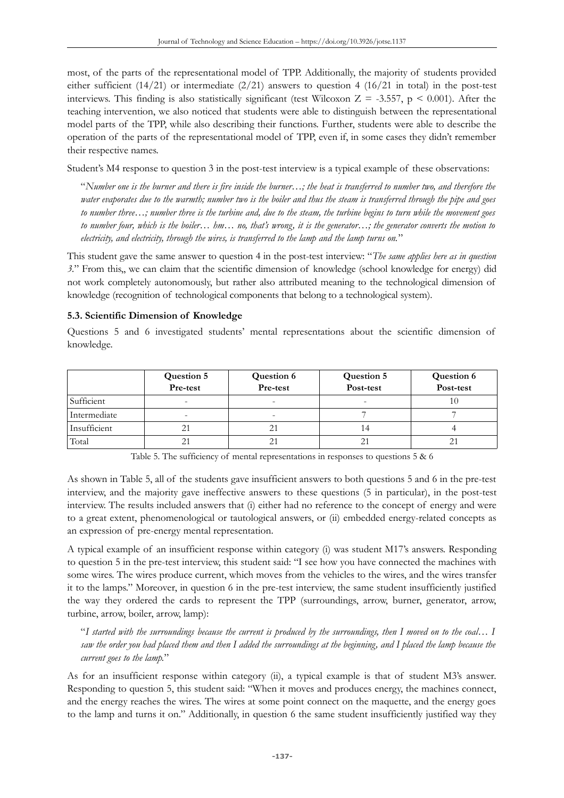most, of the parts of the representational model of TPP. Additionally, the majority of students provided either sufficient  $(14/21)$  or intermediate  $(2/21)$  answers to question 4  $(16/21$  in total) in the post-test interviews. This finding is also statistically significant (test Wilcoxon  $Z = -3.557$ ,  $p \le 0.001$ ). After the teaching intervention, we also noticed that students were able to distinguish between the representational model parts of the TPP, while also describing their functions. Further, students were able to describe the operation of the parts of the representational model of TPP, even if, in some cases they didn't remember their respective names.

Student's M4 response to question 3 in the post-test interview is a typical example of these observations:

"*Number one is the burner and there is fire inside the burner…; the heat is transferred to number two, and therefore the water evaporates due to the warmth; number two is the boiler and thus the steam is transferred through the pipe and goes to number three…; number three is the turbine and, due to the steam, the turbine begins to turn while the movement goes to number four, which is the boiler… hm… no, that's wrong, it is the generator…; the generator converts the motion to electricity, and electricity, through the wires, is transferred to the lamp and the lamp turns on.*"

This student gave the same answer to question 4 in the post-test interview: "*The same applies here as in question 3.*" From this,, we can claim that the scientific dimension of knowledge (school knowledge for energy) did not work completely autonomously, but rather also attributed meaning to the technological dimension of knowledge (recognition of technological components that belong to a technological system).

**5.3. Scientific Dimension of Knowledge**

Questions 5 and 6 investigated students' mental representations about the scientific dimension of knowledge.

|              | <b>Question 5</b><br>Pre-test | <b>Question 6</b><br>Pre-test | <b>Question 5</b><br>Post-test | <b>Question 6</b><br>Post-test |
|--------------|-------------------------------|-------------------------------|--------------------------------|--------------------------------|
| Sufficient   | $\overline{\phantom{0}}$      |                               | -                              |                                |
| Intermediate | $\overline{\phantom{a}}$      | -                             |                                |                                |
| Insufficient |                               |                               | 14                             |                                |
| Total        | 21                            |                               |                                |                                |

Table 5. The sufficiency of mental representations in responses to questions 5 & 6

As shown in Table 5, all of the students gave insufficient answers to both questions 5 and 6 in the pre-test interview, and the majority gave ineffective answers to these questions (5 in particular), in the post-test interview. The results included answers that (i) either had no reference to the concept of energy and were to a great extent, phenomenological or tautological answers, or (ii) embedded energy-related concepts as an expression of pre-energy mental representation.

A typical example of an insufficient response within category (i) was student M17's answers. Responding to question 5 in the pre-test interview, this student said: "I see how you have connected the machines with some wires. The wires produce current, which moves from the vehicles to the wires, and the wires transfer it to the lamps." Moreover, in question 6 in the pre-test interview, the same student insufficiently justified the way they ordered the cards to represent the TPP (surroundings, arrow, burner, generator, arrow, turbine, arrow, boiler, arrow, lamp):

"*I started with the surroundings because the current is produced by the surroundings, then I moved on to the coal… I saw the order you had placed them and then I added the surroundings at the beginning, and I placed the lamp because the current goes to the lamp.*"

As for an insufficient response within category (ii), a typical example is that of student M3's answer. Responding to question 5, this student said: "When it moves and produces energy, the machines connect, and the energy reaches the wires. The wires at some point connect on the maquette, and the energy goes to the lamp and turns it on." Additionally, in question 6 the same student insufficiently justified way they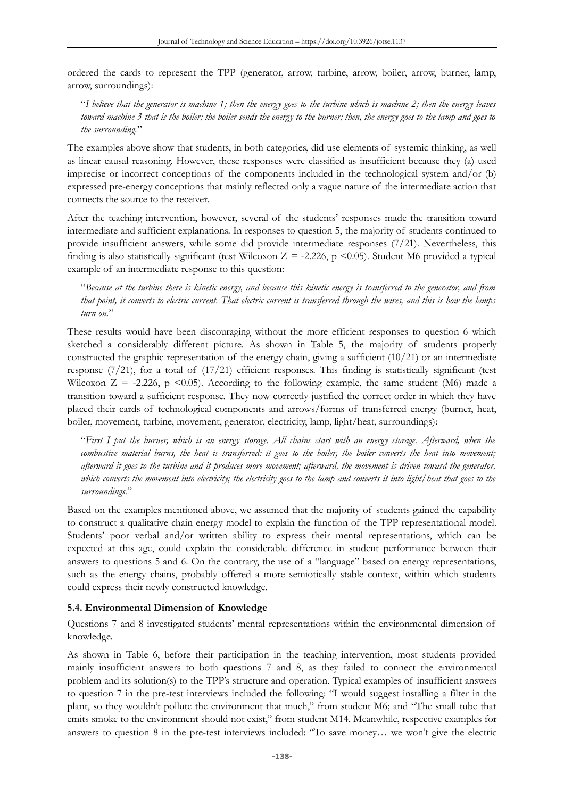ordered the cards to represent the TPP (generator, arrow, turbine, arrow, boiler, arrow, burner, lamp, arrow, surroundings):

"*I believe that the generator is machine 1; then the energy goes to the turbine which is machine 2; then the energy leaves toward machine 3 that is the boiler; the boiler sends the energy to the burner; then, the energy goes to the lamp and goes to the surrounding.*"

The examples above show that students, in both categories, did use elements of systemic thinking, as well as linear causal reasoning. However, these responses were classified as insufficient because they (a) used imprecise or incorrect conceptions of the components included in the technological system and/or  $(b)$ expressed pre-energy conceptions that mainly reflected only a vague nature of the intermediate action that connects the source to the receiver.

After the teaching intervention, however, several of the students' responses made the transition toward intermediate and sufficient explanations. In responses to question 5, the majority of students continued to provide insufficient answers, while some did provide intermediate responses (7/21). Nevertheless, this finding is also statistically significant (test Wilcoxon  $Z = -2.226$ , p <0.05). Student M6 provided a typical example of an intermediate response to this question:

"*Because at the turbine there is kinetic energy, and because this kinetic energy is transferred to the generator, and from that point, it converts to electric current. That electric current is transferred through the wires, and this is how the lamps turn on.*"

These results would have been discouraging without the more efficient responses to question 6 which sketched a considerably different picture. As shown in Table 5, the majority of students properly constructed the graphic representation of the energy chain, giving a sufficient (10/21) or an intermediate response  $(7/21)$ , for a total of  $(17/21)$  efficient responses. This finding is statistically significant (test Wilcoxon  $Z = -2.226$ , p <0.05). According to the following example, the same student (M6) made a transition toward a sufficient response. They now correctly justified the correct order in which they have placed their cards of technological components and arrows/forms of transferred energy (burner, heat, boiler, movement, turbine, movement, generator, electricity, lamp, light/heat, surroundings):

"*First I put the burner, which is an energy storage. All chains start with an energy storage. Afterward, when the combustive material burns, the heat is transferred: it goes to the boiler, the boiler converts the heat into movement; afterward it goes to the turbine and it produces more movement; afterward, the movement is driven toward the generator, which converts the movement into electricity; the electricity goes to the lamp and converts it into light/heat that goes to the surroundings.*"

Based on the examples mentioned above, we assumed that the majority of students gained the capability to construct a qualitative chain energy model to explain the function of the TPP representational model. Students' poor verbal and/or written ability to express their mental representations, which can be expected at this age, could explain the considerable difference in student performance between their answers to questions 5 and 6. On the contrary, the use of a "language" based on energy representations, such as the energy chains, probably offered a more semiotically stable context, within which students could express their newly constructed knowledge.

## **5.4. Environmental Dimension of Knowledge**

Questions 7 and 8 investigated students' mental representations within the environmental dimension of knowledge.

As shown in Table 6, before their participation in the teaching intervention, most students provided mainly insufficient answers to both questions 7 and 8, as they failed to connect the environmental problem and its solution(s) to the TPP's structure and operation. Typical examples of insufficient answers to question 7 in the pre-test interviews included the following: "I would suggest installing a filter in the plant, so they wouldn't pollute the environment that much," from student M6; and "The small tube that emits smoke to the environment should not exist," from student M14. Meanwhile, respective examples for answers to question 8 in the pre-test interviews included: "To save money… we won't give the electric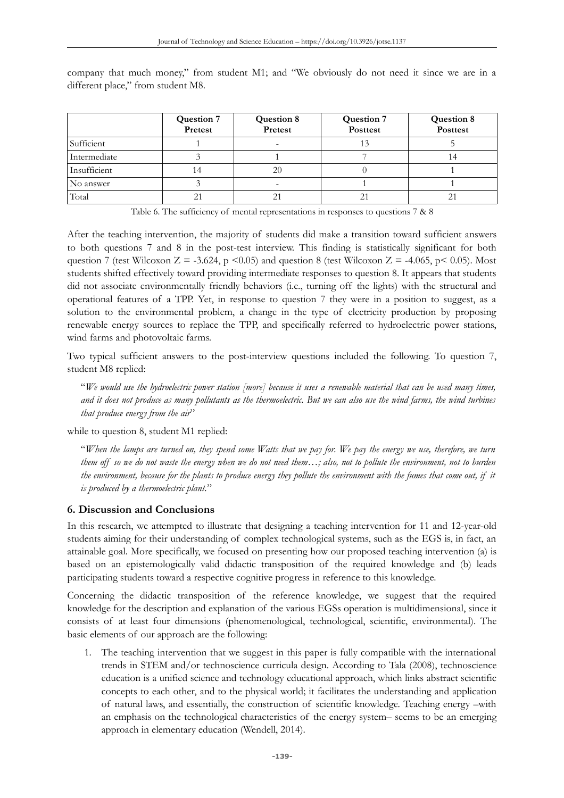|              | <b>Question 7</b><br>Pretest | <b>Question 8</b><br>Pretest | <b>Question 7</b><br><b>Posttest</b> | <b>Question 8</b><br><b>Posttest</b> |
|--------------|------------------------------|------------------------------|--------------------------------------|--------------------------------------|
| Sufficient   |                              | -                            |                                      |                                      |
| Intermediate |                              |                              |                                      |                                      |
| Insufficient | 14                           | 20                           |                                      |                                      |
| No answer    |                              | -                            |                                      |                                      |
| Total        | 2 <sub>1</sub>               | 21                           | 21                                   |                                      |

company that much money," from student M1; and "We obviously do not need it since we are in a different place," from student M8.

Table 6. The sufficiency of mental representations in responses to questions 7 & 8

After the teaching intervention, the majority of students did make a transition toward sufficient answers to both questions 7 and 8 in the post-test interview. This finding is statistically significant for both question 7 (test Wilcoxon Z = -3.624, p <0.05) and question 8 (test Wilcoxon Z = -4.065, p < 0.05). Most students shifted effectively toward providing intermediate responses to question 8. It appears that students did not associate environmentally friendly behaviors (i.e., turning off the lights) with the structural and operational features of a TPP. Yet, in response to question 7 they were in a position to suggest, as a solution to the environmental problem, a change in the type of electricity production by proposing renewable energy sources to replace the TPP, and specifically referred to hydroelectric power stations, wind farms and photovoltaic farms.

Two typical sufficient answers to the post-interview questions included the following. To question 7, student M8 replied:

"*We would use the hydroelectric power station [more] because it uses a renewable material that can be used many times, and it does not produce as many pollutants as the thermoelectric. But we can also use the wind farms, the wind turbines that produce energy from the air*"

while to question 8, student M1 replied:

"*When the lamps are turned on, they spend some Watts that we pay for. We pay the energy we use, therefore, we turn them off so we do not waste the energy when we do not need them…; also, not to pollute the environment, not to burden the environment, because for the plants to produce energy they pollute the environment with the fumes that come out, if it is produced by a thermoelectric plant.*"

## **6. Discussion and Conclusions**

In this research, we attempted to illustrate that designing a teaching intervention for 11 and 12-year-old students aiming for their understanding of complex technological systems, such as the EGS is, in fact, an attainable goal. More specifically, we focused on presenting how our proposed teaching intervention (a) is based on an epistemologically valid didactic transposition of the required knowledge and (b) leads participating students toward a respective cognitive progress in reference to this knowledge.

Concerning the didactic transposition of the reference knowledge, we suggest that the required knowledge for the description and explanation of the various EGSs operation is multidimensional, since it consists of at least four dimensions (phenomenological, technological, scientific, environmental). The basic elements of our approach are the following:

1. The teaching intervention that we suggest in this paper is fully compatible with the international trends in STEM and/or technoscience curricula design. According to Tala (2008), technoscience education is a unified science and technology educational approach, which links abstract scientific concepts to each other, and to the physical world; it facilitates the understanding and application of natural laws, and essentially, the construction of scientific knowledge. Teaching energy –with an emphasis on the technological characteristics of the energy system– seems to be an emerging approach in elementary education (Wendell, 2014).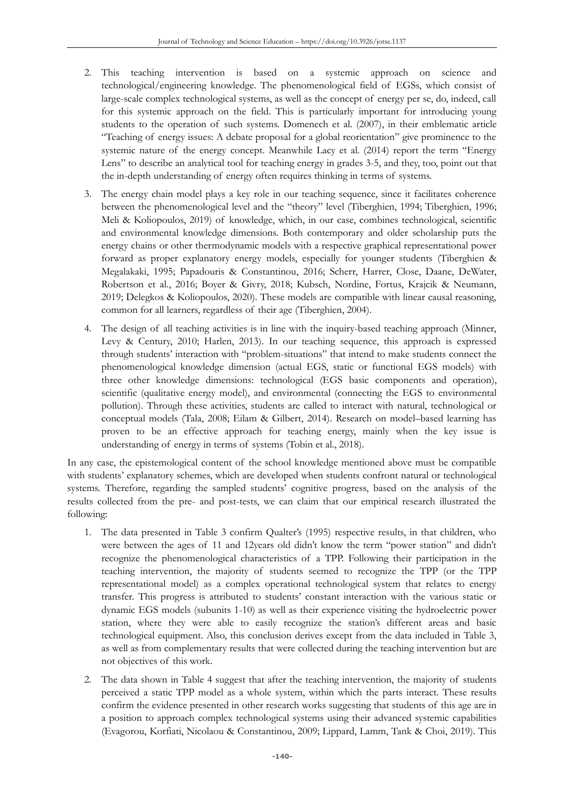- 2. This teaching intervention is based on a systemic approach on science and technological/engineering knowledge. The phenomenological field of EGSs, which consist of large-scale complex technological systems, as well as the concept of energy per se, do, indeed, call for this systemic approach on the field. This is particularly important for introducing young students to the operation of such systems. Domenech et al. (2007), in their emblematic article "Teaching of energy issues: A debate proposal for a global reorientation" give prominence to the systemic nature of the energy concept. Meanwhile Lacy et al. (2014) report the term "Energy Lens" to describe an analytical tool for teaching energy in grades 3-5, and they, too, point out that the in-depth understanding of energy often requires thinking in terms of systems.
- 3. The energy chain model plays a key role in our teaching sequence, since it facilitates coherence between the phenomenological level and the "theory" level (Tiberghien, 1994; Tiberghien, 1996; Meli & Koliopoulos, 2019) of knowledge, which, in our case, combines technological, scientific and environmental knowledge dimensions. Both contemporary and older scholarship puts the energy chains or other thermodynamic models with a respective graphical representational power forward as proper explanatory energy models, especially for younger students (Tiberghien & Megalakaki, 1995; Papadouris & Constantinou, 2016; Scherr, Harrer, Close, Daane, DeWater, Robertson et al., 2016; Boyer & Givry, 2018; Kubsch, Nordine, Fortus, Krajcik & Neumann, 2019; Delegkos & Koliopoulos, 2020). These models are compatible with linear causal reasoning, common for all learners, regardless of their age (Tiberghien, 2004).
- 4. The design of all teaching activities is in line with the inquiry-based teaching approach (Minner, Levy & Century, 2010; Harlen, 2013). In our teaching sequence, this approach is expressed through students' interaction with "problem-situations" that intend to make students connect the phenomenological knowledge dimension (actual EGS, static or functional EGS models) with three other knowledge dimensions: technological (EGS basic components and operation), scientific (qualitative energy model), and environmental (connecting the EGS to environmental pollution). Through these activities, students are called to interact with natural, technological or conceptual models (Tala, 2008; Eilam & Gilbert, 2014). Research on model–based learning has proven to be an effective approach for teaching energy, mainly when the key issue is understanding of energy in terms of systems (Tobin et al., 2018).

In any case, the epistemological content of the school knowledge mentioned above must be compatible with students' explanatory schemes, which are developed when students confront natural or technological systems. Therefore, regarding the sampled students' cognitive progress, based on the analysis of the results collected from the pre- and post-tests, we can claim that our empirical research illustrated the following:

- 1. The data presented in Table 3 confirm Qualter's (1995) respective results, in that children, who were between the ages of 11 and 12years old didn't know the term "power station" and didn't recognize the phenomenological characteristics of a TPP. Following their participation in the teaching intervention, the majority of students seemed to recognize the TPP (or the TPP representational model) as a complex operational technological system that relates to energy transfer. This progress is attributed to students' constant interaction with the various static or dynamic EGS models (subunits 1-10) as well as their experience visiting the hydroelectric power station, where they were able to easily recognize the station's different areas and basic technological equipment. Also, this conclusion derives except from the data included in Table 3, as well as from complementary results that were collected during the teaching intervention but are not objectives of this work.
- 2. The data shown in Table 4 suggest that after the teaching intervention, the majority of students perceived a static TPP model as a whole system, within which the parts interact. These results confirm the evidence presented in other research works suggesting that students of this age are in a position to approach complex technological systems using their advanced systemic capabilities (Evagorou, Korfiati, Nicolaou & Constantinou, 2009; Lippard, Lamm, Tank & Choi, 2019). This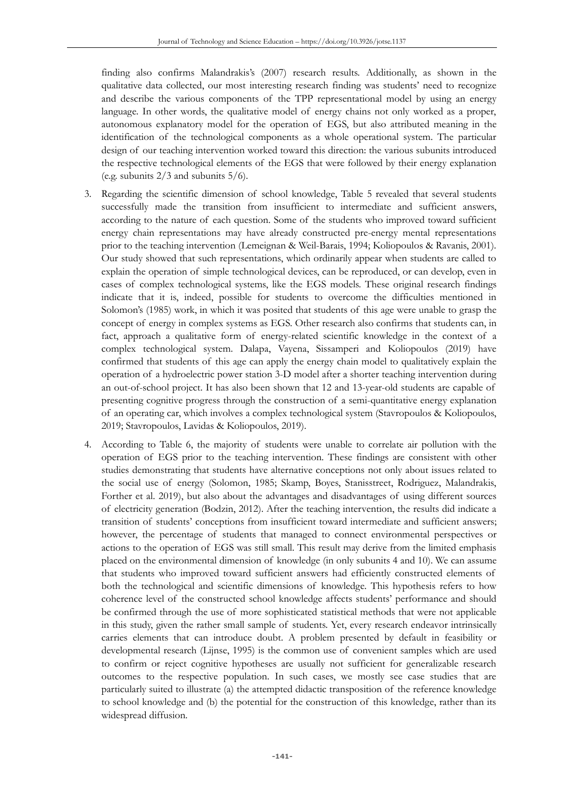finding also confirms Malandrakis's (2007) research results. Additionally, as shown in the qualitative data collected, our most interesting research finding was students' need to recognize and describe the various components of the TPP representational model by using an energy language. In other words, the qualitative model of energy chains not only worked as a proper, autonomous explanatory model for the operation of EGS, but also attributed meaning in the identification of the technological components as a whole operational system. The particular design of our teaching intervention worked toward this direction: the various subunits introduced the respective technological elements of the EGS that were followed by their energy explanation (e.g. subunits  $2/3$  and subunits  $5/6$ ).

- 3. Regarding the scientific dimension of school knowledge, Table 5 revealed that several students successfully made the transition from insufficient to intermediate and sufficient answers, according to the nature of each question. Some of the students who improved toward sufficient energy chain representations may have already constructed pre-energy mental representations prior to the teaching intervention (Lemeignan & Weil-Barais, 1994; Koliopoulos & Ravanis, 2001). Our study showed that such representations, which ordinarily appear when students are called to explain the operation of simple technological devices, can be reproduced, or can develop, even in cases of complex technological systems, like the EGS models. These original research findings indicate that it is, indeed, possible for students to overcome the difficulties mentioned in Solomon's (1985) work, in which it was posited that students of this age were unable to grasp the concept of energy in complex systems as EGS. Other research also confirms that students can, in fact, approach a qualitative form of energy-related scientific knowledge in the context of a complex technological system. Dalapa, Vayena, Sissamperi and Koliopoulos (2019) have confirmed that students of this age can apply the energy chain model to qualitatively explain the operation of a hydroelectric power station 3-D model after a shorter teaching intervention during an out-of-school project. It has also been shown that 12 and 13-year-old students are capable of presenting cognitive progress through the construction of a semi-quantitative energy explanation of an operating car, which involves a complex technological system (Stavropoulos & Koliopoulos, 2019; Stavropoulos, Lavidas & Koliopoulos, 2019).
- 4. According to Table 6, the majority of students were unable to correlate air pollution with the operation of EGS prior to the teaching intervention. These findings are consistent with other studies demonstrating that students have alternative conceptions not only about issues related to the social use of energy (Solomon, 1985; Skamp, Boyes, Stanisstreet, Rodriguez, Malandrakis, Forther et al. 2019), but also about the advantages and disadvantages of using different sources of electricity generation (Bodzin, 2012). After the teaching intervention, the results did indicate a transition of students' conceptions from insufficient toward intermediate and sufficient answers; however, the percentage of students that managed to connect environmental perspectives or actions to the operation of EGS was still small. This result may derive from the limited emphasis placed on the environmental dimension of knowledge (in only subunits 4 and 10). We can assume that students who improved toward sufficient answers had efficiently constructed elements of both the technological and scientific dimensions of knowledge. This hypothesis refers to how coherence level of the constructed school knowledge affects students' performance and should be confirmed through the use of more sophisticated statistical methods that were not applicable in this study, given the rather small sample of students. Yet, every research endeavor intrinsically carries elements that can introduce doubt. A problem presented by default in feasibility or developmental research (Lijnse, 1995) is the common use of convenient samples which are used to confirm or reject cognitive hypotheses are usually not sufficient for generalizable research outcomes to the respective population. In such cases, we mostly see case studies that are particularly suited to illustrate (a) the attempted didactic transposition of the reference knowledge to school knowledge and (b) the potential for the construction of this knowledge, rather than its widespread diffusion.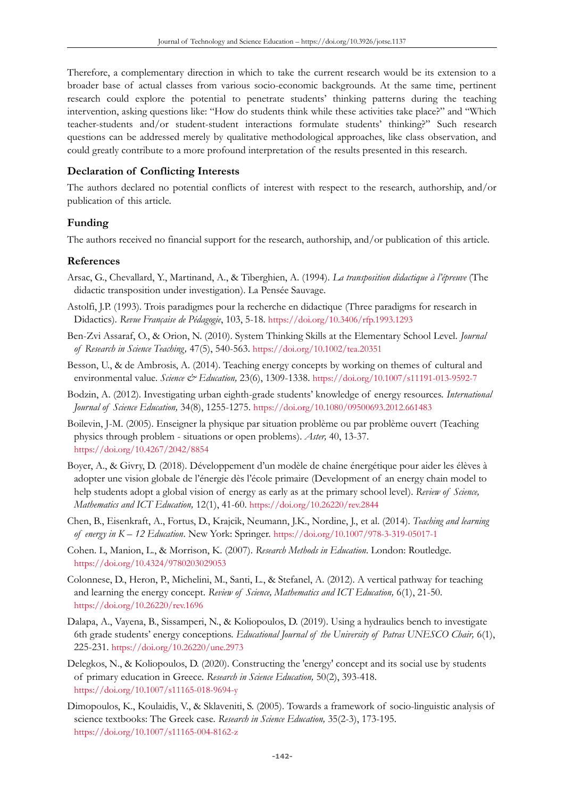Therefore, a complementary direction in which to take the current research would be its extension to a broader base of actual classes from various socio-economic backgrounds. At the same time, pertinent research could explore the potential to penetrate students' thinking patterns during the teaching intervention, asking questions like: "How do students think while these activities take place?" and "Which teacher-students and/or student-student interactions formulate students' thinking?" Such research questions can be addressed merely by qualitative methodological approaches, like class observation, and could greatly contribute to a more profound interpretation of the results presented in this research.

## **Declaration of Conflicting Interests**

The authors declared no potential conflicts of interest with respect to the research, authorship, and/or publication of this article.

## **Funding**

The authors received no financial support for the research, authorship, and/or publication of this article.

## **References**

- Arsac, G., Chevallard, Y., Martinand, A., & Tiberghien, A. (1994). *La transposition didactique à l'épreuve* (The didactic transposition under investigation). La Pensée Sauvage.
- Astolfi, J.P. (1993). Trois paradigmes pour la recherche en didactique (Three paradigms for research in Didactics). *Revue Française de Pédagogie*, 103, 5-18. <https://doi.org/10.3406/rfp.1993.1293>
- Ben-Zvi Assaraf, O., & Orion, N. (2010). System Thinking Skills at the Elementary School Level. *Journal of Research in Science Teaching,* 47(5), 540-563. <https://doi.org/10.1002/tea.20351>
- Besson, U., & de Ambrosis, A. (2014). Teaching energy concepts by working on themes of cultural and environmental value. *Science & Education,* 23(6), 1309-1338. <https://doi.org/10.1007/s11191-013-9592-7>
- Bodzin, Α. (2012). Investigating urban eighth-grade students' knowledge of energy resources. *International Journal of Science Education,* 34(8), 1255-1275. <https://doi.org/10.1080/09500693.2012.661483>
- Boilevin, J-M. (2005). Enseigner la physique par situation problème ou par problème ouvert (Teaching physics through problem - situations or open problems). *Aster,* 40, 13-37. <https://doi.org/10.4267/2042/8854>
- Boyer, A., & Givry, D. (2018). Développement d'un modèle de chaîne énergétique pour aider les élèves à adopter une vision globale de l'énergie dès l'école primaire (Development of an energy chain model to help students adopt a global vision of energy as early as at the primary school level). *Review of Science, Mathematics and ICT Education,* 12(1), 41-60. <https://doi.org/10.26220/rev.2844>
- Chen, B., Eisenkraft, A., Fortus, D., Krajcik, Neumann, J.K., Nordine, J., et al. (2014). *Teaching and learning of energy in K – 12 Education*. New York: Springer. <https://doi.org/10.1007/978-3-319-05017-1>
- Cohen. L, Manion, L., & Morrison, K. (2007). *Research Methods in Education*. London: Routledge. <https://doi.org/10.4324/9780203029053>
- Colonnese, D., Heron, P., Michelini, M., Santi, L., & Stefanel, A. (2012). A vertical pathway for teaching and learning the energy concept. *Review of Science, Mathematics and ICT Education,* 6(1), 21-50. <https://doi.org/10.26220/rev.1696>
- Dalapa, A., Vayena, B., Sissamperi, N., & Koliopoulos, D. (2019). Using a hydraulics bench to investigate 6th grade students' energy conceptions. *Educational Journal of the University of Patras UNESCO Chair,* 6(1), 225-231. <https://doi.org/10.26220/une.2973>
- Delegkos, Ν., & Koliopoulos, D. (2020). Constructing the 'energy' concept and its social use by students of primary education in Greece. *Research in Science Education,* 50(2), 393-418. <https://doi.org/10.1007/s11165-018-9694-y>
- Dimopoulos, K., Koulaidis, V., & Sklaveniti, S. (2005). Towards a framework of socio-linguistic analysis of science textbooks: The Greek case. *Research in Science Education,* 35(2-3), 173-195. <https://doi.org/10.1007/s11165-004-8162-z>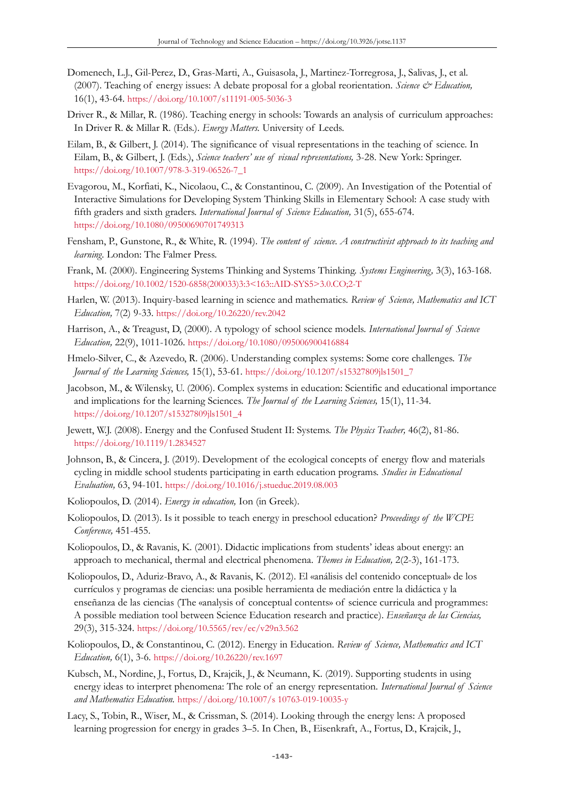- Domenech, L.J., Gil-Perez, D., Gras-Marti, A., Guisasola, J., Martinez-Torregrosa, J., Salivas, J., et al. (2007). Teaching of energy issues: A debate proposal for a global reorientation. *Science & Education*, 16(1), 43-64. <https://doi.org/10.1007/s11191-005-5036-3>
- Driver R., & Millar, R. (1986). Teaching energy in schools: Towards an analysis of curriculum approaches: In Driver R. & Millar R. (Eds.). *Energy Matters.* University of Leeds.
- Eilam, B., & Gilbert, J. (2014). The significance of visual representations in the teaching of science. In Eilam, B., & Gilbert, J. (Eds.), *Science teachers' use of visual representations,* 3-28. New York: Springer. [https://doi.org/10.1007/978-3-319-06526-7\\_1](https://doi.org/10.1007/978-3-319-06526-7_1)
- Evagorou, Μ., Korfiati, Κ., Nicolaou, C., & Constantinou, C. (2009). An Investigation of the Potential of Interactive Simulations for Developing System Thinking Skills in Elementary School: A case study with fifth graders and sixth graders. *International Journal of Science Education,* 31(5), 655-674. <https://doi.org/10.1080/09500690701749313>
- Fensham, P., Gunstone, R., & White, R. (1994). *The content of science. A constructivist approach to its teaching and learning.* London: The Falmer Press.
- Frank, Μ. (2000). Engineering Systems Thinking and Systems Thinking. *Systems Engineering,* 3(3), 163-168. [https://doi.org/10.1002/1520-6858\(200033\)3:3<163::AID-SYS5>3.0.CO;2-T](https://doi.org/10.1002/1520-6858(200033)3:3%3C163::AID-SYS5%3E3.0.CO;2-T)
- Harlen, W. (2013). Inquiry-based learning in science and mathematics. *Review of Science, Mathematics and ICT Education,* 7(2) 9-33. <https://doi.org/10.26220/rev.2042>
- Harrison, A., & Treagust, D, (2000). A typology of school science models. *International Journal of Science Education,* 22(9), 1011-1026. <https://doi.org/10.1080/095006900416884>
- Hmelo-Silver, C., & Azevedo, R. (2006). Understanding complex systems: Some core challenges. *The Journal of the Learning Sciences,* 15(1), 53-61. [https://doi.org/10.1207/s15327809jls1501\\_7](https://doi.org/10.1207/s15327809jls1501_7)
- Jacobson, M., & Wilensky, U. (2006). Complex systems in education: Scientific and educational importance and implications for the learning Sciences. *The Journal of the Learning Sciences,* 15(1), 11-34. [https://doi.org/10.1207/s15327809jls1501\\_4](https://doi.org/10.1207/s15327809jls1501_4)
- Jewett, W.J. (2008). Energy and the Confused Student II: Systems. *The Physics Teacher,* 46(2), 81-86. <https://doi.org/10.1119/1.2834527>
- Johnson, B., & Cincera, J. (2019). Development of the ecological concepts of energy flow and materials cycling in middle school students participating in earth education programs. *Studies in Educational Evaluation,* 63, 94-101. <https://doi.org/10.1016/j.stueduc.2019.08.003>
- Koliopoulos, D. (2014). *Energy in education,* Ion (in Greek).
- Koliopoulos, D. (2013). Is it possible to teach energy in preschool education? *Proceedings of the WCPE Conference,* 451-455.
- Koliopoulos, D., & Ravanis, K. (2001). Didactic implications from students' ideas about energy: an approach to mechanical, thermal and electrical phenomena. *Themes in Education,* 2(2-3), 161-173.
- Koliopoulos, D., Aduriz-Bravo, A., & Ravanis, K. (2012). El «análisis del contenido conceptual» de los currículos y programas de ciencias: una posible herramienta de mediación entre la didáctica y la enseñanza de las ciencias (The «analysis of conceptual contents» of science curricula and programmes: A possible mediation tool between Science Education research and practice). *Enseñanza de las Ciencias,* 29(3), 315-324. <https://doi.org/10.5565/rev/ec/v29n3.562>
- Koliopoulos, D., & Constantinou, C. (2012). Energy in Education. *Review of Science, Mathematics and ICT Education,* 6(1), 3-6. <https://doi.org/10.26220/rev.1697>
- Kubsch, M., Nordine, J., Fortus, D., Krajcik, J., & Neumann, K. (2019). Supporting students in using energy ideas to interpret phenomena: The role of an energy representation. *International Journal of Science and Mathematics Education.* https://doi.org/10.1007/s 10763-019-10035-y
- Lacy, S., Tobin, R., Wiser, M., & Crissman, S. (2014). Looking through the energy lens: A proposed learning progression for energy in grades 3–5. In Chen, B., Eisenkraft, A., Fortus, D., Krajcik, J.,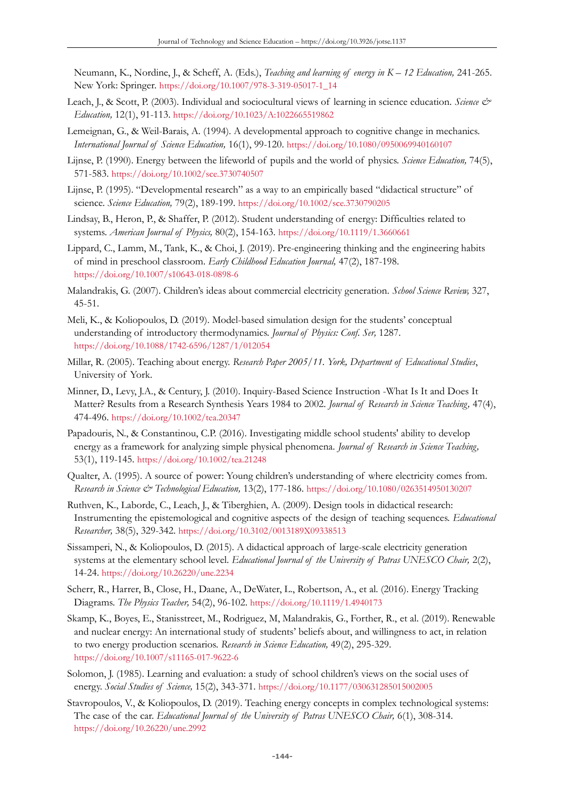Neumann, K., Nordine, J., & Scheff, A. (Eds.), *Teaching and learning of energy in K – 12 Education,* 241-265. New York: Springer. [https://doi.org/10.1007/978-3-319-05017-1\\_14](https://doi.org/10.1007/978-3-319-05017-1_14)

- Leach, J., & Scott, P. (2003). Individual and sociocultural views of learning in science education. *Science & Education,* 12(1), 91-113. <https://doi.org/10.1023/A:1022665519862>
- Lemeignan, G., & Weil-Barais, A. (1994). A developmental approach to cognitive change in mechanics. *International Journal of Science Education,* 16(1), 99-120. <https://doi.org/10.1080/0950069940160107>
- Lijnse, P. (1990). Energy between the lifeworld of pupils and the world of physics. *Science Education,* 74(5), 571-583. <https://doi.org/10.1002/sce.3730740507>
- Lijnse, P. (1995). "Developmental research" as a way to an empirically based "didactical structure" of science. *Science Education,* 79(2), 189-199. <https://doi.org/10.1002/sce.3730790205>
- Lindsay, B., Heron, P., & Shaffer, P. (2012). Student understanding of energy: Difficulties related to systems. *American Journal of Physics,* 80(2), 154-163. <https://doi.org/10.1119/1.3660661>
- Lippard, C., Lamm, M., Tank, K., & Choi, J. (2019). Pre-engineering thinking and the engineering habits of mind in preschool classroom. *Early Childhood Education Journal,* 47(2), 187-198. <https://doi.org/10.1007/s10643-018-0898-6>
- Malandrakis, G. (2007). Children's ideas about commercial electricity generation. *School Science Review,* 327, 45-51.
- Meli, K., & Koliopoulos, D. (2019). Model-based simulation design for the students' conceptual understanding of introductory thermodynamics. *Journal of Physics: Conf. Ser,* 1287. <https://doi.org/10.1088/1742-6596/1287/1/012054>
- Millar, R. (2005). Teaching about energy. *Research Paper 2005/11. York, Department of Educational Studies*, University of York.
- Minner, D., Levy, J.A., & Century, J. (2010). Inquiry-Based Science Instruction -What Is It and Does It Matter? Results from a Research Synthesis Years 1984 to 2002. *Journal of Research in Science Teaching,* 47(4), 474-496. <https://doi.org/10.1002/tea.20347>
- Papadouris, N., & Constantinou, C.P. (2016). Investigating middle school students' ability to develop energy as a framework for analyzing simple physical phenomena. *Journal of Research in Science Teaching,* 53(1), 119-145. <https://doi.org/10.1002/tea.21248>
- Qualter, A. (1995). A source of power: Young children's understanding of where electricity comes from. *Research in Science & Technological Education,* 13(2), 177-186. <https://doi.org/10.1080/0263514950130207>
- Ruthven, K., Laborde, C., Leach, J., & Tiberghien, A. (2009). Design tools in didactical research: Instrumenting the epistemological and cognitive aspects of the design of teaching sequences. *Educational Researcher,* 38(5), 329-342. <https://doi.org/10.3102/0013189X09338513>
- Sissamperi, N., & Koliopoulos, D. (2015). A didactical approach of large-scale electricity generation systems at the elementary school level. *Educational Journal of the University of Patras UNESCO Chair,* 2(2), 14-24. <https://doi.org/10.26220/une.2234>
- Scherr, R., Harrer, B., Close, H., Daane, A., DeWater, L., Robertson, A., et al. (2016). Energy Tracking Diagrams. *The Physics Teacher,* 54(2), 96-102. <https://doi.org/10.1119/1.4940173>
- Skamp, K., Boyes, E., Stanisstreet, M., Rodriguez, M, Malandrakis, G., Forther, R., et al. (2019). Renewable and nuclear energy: An international study of students' beliefs about, and willingness to act, in relation to two energy production scenarios. *Research in Science Education,* 49(2), 295-329. <https://doi.org/10.1007/s11165-017-9622-6>
- Solomon, J. (1985). Learning and evaluation: a study of school children's views on the social uses of energy. *Social Studies of Science,* 15(2), 343-371. <https://doi.org/10.1177/030631285015002005>
- Stavropoulos, V., & Koliopoulos, D. (2019). Teaching energy concepts in complex technological systems: The case of the car. *Educational Journal of the University of Patras UNESCO Chair*, 6(1), 308-314. <https://doi.org/10.26220/une.2992>